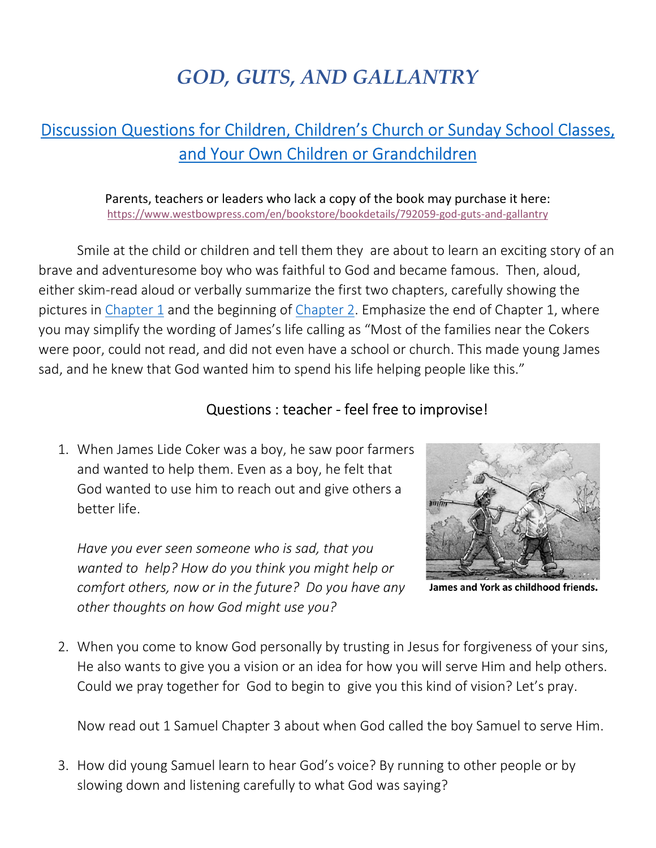## *GOD, GUTS, AND GALLANTRY*

## Discussion Questions for Children, Children's Church or Sunday School Classes, and Your Own Children or Grandchildren

Parents, teachers or leaders who lack a copy of the book may purchase it here: https://www.westbowpress.com/en/bookstore/bookdetails/792059-god-guts-and-gallantry

Smile at the child or children and tell them they are about to learn an exciting story of an brave and adventuresome boy who was faithful to God and became famous. Then, aloud, either skim-read aloud or verbally summarize the first two chapters, carefully showing the pictures in Chapter 1 and the beginning of Chapter 2. Emphasize the end of Chapter 1, where you may simplify the wording of James's life calling as "Most of the families near the Cokers were poor, could not read, and did not even have a school or church. This made young James sad, and he knew that God wanted him to spend his life helping people like this."

## Questions : teacher - feel free to improvise!

1. When James Lide Coker was a boy, he saw poor farmers and wanted to help them. Even as a boy, he felt that God wanted to use him to reach out and give others a better life.

*Have you ever seen someone who is sad, that you wanted to help? How do you think you might help or comfort others, now or in the future? Do you have any other thoughts on how God might use you?* 



James and York as childhood friends.

2. When you come to know God personally by trusting in Jesus for forgiveness of your sins, He also wants to give you a vision or an idea for how you will serve Him and help others. Could we pray together for God to begin to give you this kind of vision? Let's pray.

Now read out 1 Samuel Chapter 3 about when God called the boy Samuel to serve Him.

3. How did young Samuel learn to hear God's voice? By running to other people or by slowing down and listening carefully to what God was saying?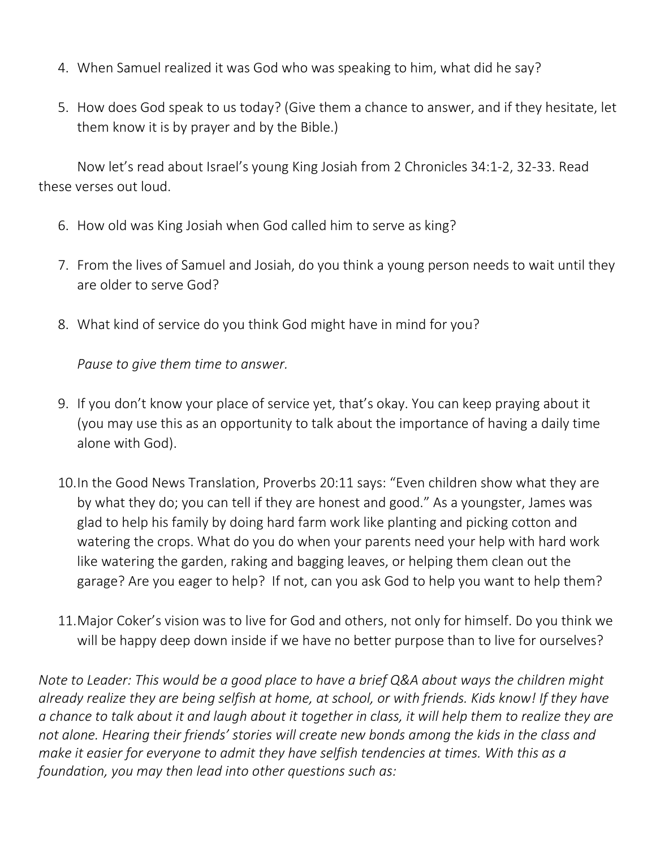- 4. When Samuel realized it was God who was speaking to him, what did he say?
- 5. How does God speak to us today? (Give them a chance to answer, and if they hesitate, let them know it is by prayer and by the Bible.)

Now let's read about Israel's young King Josiah from 2 Chronicles 34:1-2, 32-33. Read these verses out loud.

- 6. How old was King Josiah when God called him to serve as king?
- 7. From the lives of Samuel and Josiah, do you think a young person needs to wait until they are older to serve God?
- 8. What kind of service do you think God might have in mind for you?

*Pause to give them time to answer.* 

- 9. If you don't know your place of service yet, that's okay. You can keep praying about it (you may use this as an opportunity to talk about the importance of having a daily time alone with God).
- 10.In the Good News Translation, Proverbs 20:11 says: "Even children show what they are by what they do; you can tell if they are honest and good." As a youngster, James was glad to help his family by doing hard farm work like planting and picking cotton and watering the crops. What do you do when your parents need your help with hard work like watering the garden, raking and bagging leaves, or helping them clean out the garage? Are you eager to help? If not, can you ask God to help you want to help them?
- 11.Major Coker's vision was to live for God and others, not only for himself. Do you think we will be happy deep down inside if we have no better purpose than to live for ourselves?

*Note to Leader: This would be a good place to have a brief Q&A about ways the children might already realize they are being selfish at home, at school, or with friends. Kids know! If they have a chance to talk about it and laugh about it together in class, it will help them to realize they are not alone. Hearing their friends' stories will create new bonds among the kids in the class and make it easier for everyone to admit they have selfish tendencies at times. With this as a foundation, you may then lead into other questions such as:*